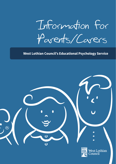Information for Parents/Carers

#### **West Lothian Council's Educational Psychology Service**

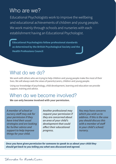# Who are we?

Educational Psychologists work to improve the wellbeing and educational achievements of children and young people. We work mainly through schools and nurseries with each establishment having an Educational Psychologist.

**Educational Psychologists follow professional standards as determined by the British Psychological Society and the Health Professions Council**

## What do we do?

We work with others who are trying to help children and young people make the most of their lives. We will always seek the views of parents/carers, children and young people.

Using our knowledge of psychology, child development, learning and education we provide support, training and advice.

## When do we become involved?

**We can only become involved with your permission.** 

*A member of school or*  **nursery staff may ask for**  *your permission if they have tried their usual*  **strategies and are looking**  *for further advice and support to help improve things for your child.*

*Another professional may request your permission if they are concerned about an area of your child's development that could*  **affect their educational**  *progress.* 

*You may have concerns which you wish us to address. If this is the case you should discuss this*  **with a member of staff**  *in your child's school/ nursery.*

*Once you have given permission for someone to speak to us about your child they should get back to you telling you what was discussed and agreed.*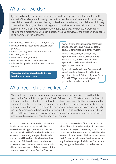## What will we do?

If your child is not yet in school or nursery, we will start by discussing the situation with yourself. Otherwise, we will usually meet with a member of staff in school. In most cases, we will then meet with you and the key professionals who know your child. Your child may be invited too if everyone thinks it is a good idea. At the meeting we will want to hear from everyone how things have been recently, what is going well and what the worries are. Following this meeting, we will be in a position to give our view of the situation and offer to do one or more of the following:

- offer advice to you and the school/nursery
- meet your child's teacher to discuss their progress
- look at existing assessment information
- · observe your child
- meet/work with your child
- suggest a referral to another service
- talk to other professionals who may know your child

**You can contact us at any time to discuss how things are progressing.**

You will always be kept informed of the work being done and you will receive feedback, usually at a meeting held in school/nursery.

We will always send you a copy of any reports we write about your child. We will also add a 'copy to' list at the end of our reports which will confirm who else the report has been sent to .

If your child is referred to our Service we will sometimes share information with other agencies, in line with Getting it Right for Every Child (GIRFEC) guidance, so that your child gets the best possible support.

### What records do we keep?

We usually need to record information about your child and any discussions that take place at the Consultation stage of our Service's Involvement. This is to ensure that useful information shared about your child by those at meetings, and what has been planned to support him or her, is easily accessed and can be referred to in later review meetings. The information will be stored electronically, on a secure system, by our Service for a period of up to 12 months, or until it is clear that we are unlikely to be involved again, before being deleted. However, a paper copy will be stored permanently in your child's file in school, and you will also receive a copy for your own records.

In some situations we may need to collect more detailed information about your child or be involved over a longer period of time. In these cases, your child will be formally referred to our Service. Children and young people referred to our Service will have basic details such as their name, date of birth and contact details stored on a secure database. More detailed information will also be stored in a confidential electronic file system accessed within our Service. When we

cease to be involved this file will be marked as 'closed' but still stored securely within Service's electronic data system. However, all records will be permanently deleted when your child reaches 23-years old. You or your child can request to see the information held by our Service on them at any time by writing to the Principal Educational Psychologist at the address on the back cover.